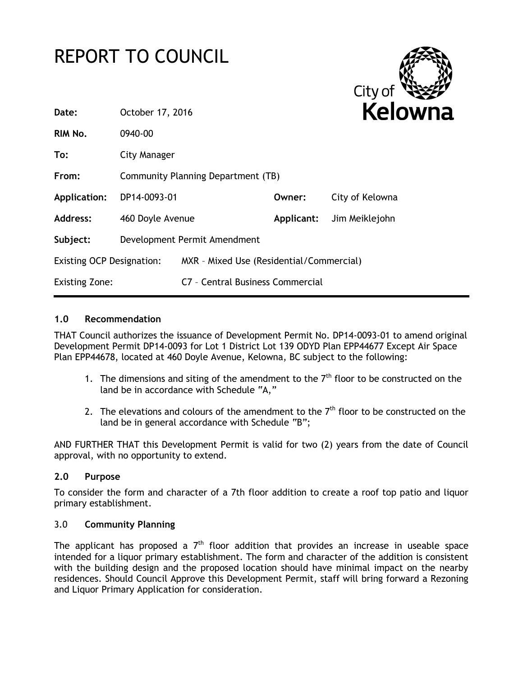# REPORT TO COUNCIL



| Date:                            | October 17, 2016                   |                                          |            | <b>Kelow</b>    |
|----------------------------------|------------------------------------|------------------------------------------|------------|-----------------|
| RIM No.                          | 0940-00                            |                                          |            |                 |
| To:                              | City Manager                       |                                          |            |                 |
| From:                            | Community Planning Department (TB) |                                          |            |                 |
| Application:                     | DP14-0093-01                       |                                          | Owner:     | City of Kelowna |
| <b>Address:</b>                  | 460 Doyle Avenue                   |                                          | Applicant: | Jim Meiklejohn  |
| Subject:                         | Development Permit Amendment       |                                          |            |                 |
| <b>Existing OCP Designation:</b> |                                    | MXR - Mixed Use (Residential/Commercial) |            |                 |
| <b>Existing Zone:</b>            |                                    | C7 - Central Business Commercial         |            |                 |

#### **1.0 Recommendation**

THAT Council authorizes the issuance of Development Permit No. DP14-0093-01 to amend original Development Permit DP14-0093 for Lot 1 District Lot 139 ODYD Plan EPP44677 Except Air Space Plan EPP44678, located at 460 Doyle Avenue, Kelowna, BC subject to the following:

- 1. The dimensions and siting of the amendment to the  $7<sup>th</sup>$  floor to be constructed on the land be in accordance with Schedule "A,"
- 2. The elevations and colours of the amendment to the  $7<sup>th</sup>$  floor to be constructed on the land be in general accordance with Schedule "B";

AND FURTHER THAT this Development Permit is valid for two (2) years from the date of Council approval, with no opportunity to extend.

#### **2.0 Purpose**

To consider the form and character of a 7th floor addition to create a roof top patio and liquor primary establishment.

#### 3.0 **Community Planning**

The applicant has proposed a  $7<sup>th</sup>$  floor addition that provides an increase in useable space intended for a liquor primary establishment. The form and character of the addition is consistent with the building design and the proposed location should have minimal impact on the nearby residences. Should Council Approve this Development Permit, staff will bring forward a Rezoning and Liquor Primary Application for consideration.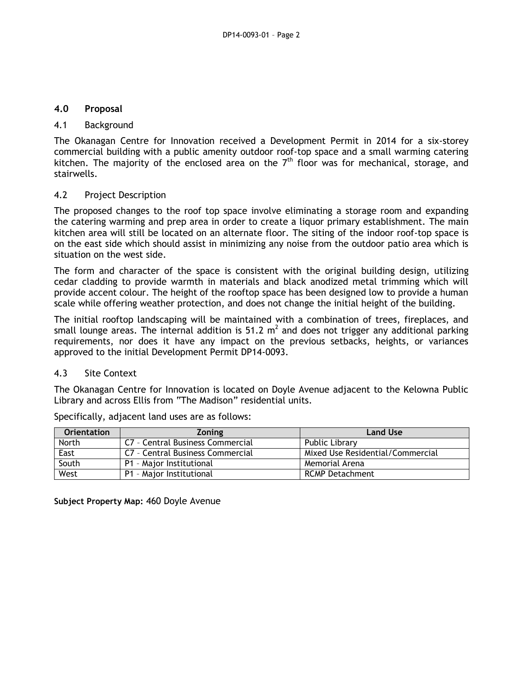#### **4.0 Proposal**

#### 4.1 Background

The Okanagan Centre for Innovation received a Development Permit in 2014 for a six-storey commercial building with a public amenity outdoor roof-top space and a small warming catering kitchen. The majority of the enclosed area on the  $7<sup>th</sup>$  floor was for mechanical, storage, and stairwells.

#### 4.2 Project Description

The proposed changes to the roof top space involve eliminating a storage room and expanding the catering warming and prep area in order to create a liquor primary establishment. The main kitchen area will still be located on an alternate floor. The siting of the indoor roof-top space is on the east side which should assist in minimizing any noise from the outdoor patio area which is situation on the west side.

The form and character of the space is consistent with the original building design, utilizing cedar cladding to provide warmth in materials and black anodized metal trimming which will provide accent colour. The height of the rooftop space has been designed low to provide a human scale while offering weather protection, and does not change the initial height of the building.

The initial rooftop landscaping will be maintained with a combination of trees, fireplaces, and small lounge areas. The internal addition is 51.2  $m^2$  and does not trigger any additional parking requirements, nor does it have any impact on the previous setbacks, heights, or variances approved to the initial Development Permit DP14-0093.

#### 4.3 Site Context

The Okanagan Centre for Innovation is located on Doyle Avenue adjacent to the Kelowna Public Library and across Ellis from "The Madison" residential units.

| <b>Orientation</b> | <b>Zoning</b>                    | <b>Land Use</b>                  |
|--------------------|----------------------------------|----------------------------------|
| North              | C7 - Central Business Commercial | Public Library                   |
| East               | C7 - Central Business Commercial | Mixed Use Residential/Commercial |
| South              | P1 - Major Institutional         | Memorial Arena                   |
| West               | P1 - Major Institutional         | <b>RCMP Detachment</b>           |

Specifically, adjacent land uses are as follows:

**Subject Property Map:** 460 Doyle Avenue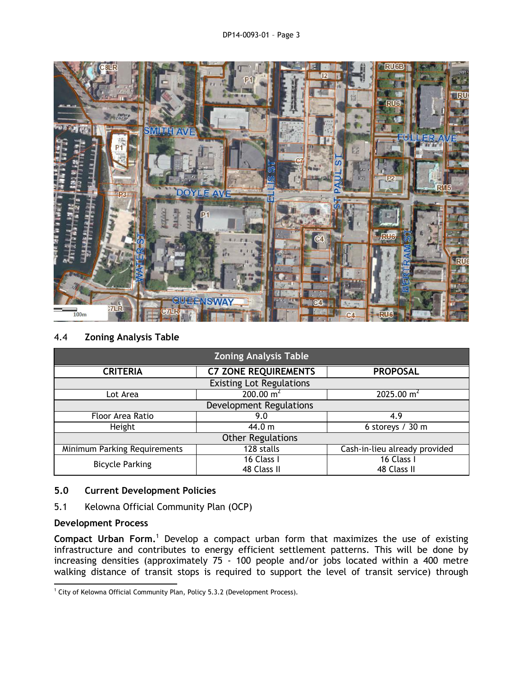

#### 4.4 **Zoning Analysis Table**

| <b>Zoning Analysis Table</b>    |                             |                               |  |  |
|---------------------------------|-----------------------------|-------------------------------|--|--|
| <b>CRITERIA</b>                 | <b>C7 ZONE REQUIREMENTS</b> | <b>PROPOSAL</b>               |  |  |
| <b>Existing Lot Regulations</b> |                             |                               |  |  |
| Lot Area                        | $200.00 \text{ m}^2$        | 2025.00 $m2$                  |  |  |
| Development Regulations         |                             |                               |  |  |
| Floor Area Ratio                | 9.0                         | 4.9                           |  |  |
| Height                          | 44.0 m                      | 6 storeys / $30 \text{ m}$    |  |  |
| <b>Other Regulations</b>        |                             |                               |  |  |
| Minimum Parking Requirements    | 128 stalls                  | Cash-in-lieu already provided |  |  |
| <b>Bicycle Parking</b>          | 16 Class I<br>48 Class II   | 16 Class I<br>48 Class II     |  |  |

#### **5.0 Current Development Policies**

5.1 Kelowna Official Community Plan (OCP)

#### **Development Process**

**Compact Urban Form.**<sup>1</sup> Develop a compact urban form that maximizes the use of existing infrastructure and contributes to energy efficient settlement patterns. This will be done by increasing densities (approximately 75 - 100 people and/or jobs located within a 400 metre walking distance of transit stops is required to support the level of transit service) through

<sup>1</sup>  $1$  City of Kelowna Official Community Plan, Policy 5.3.2 (Development Process).